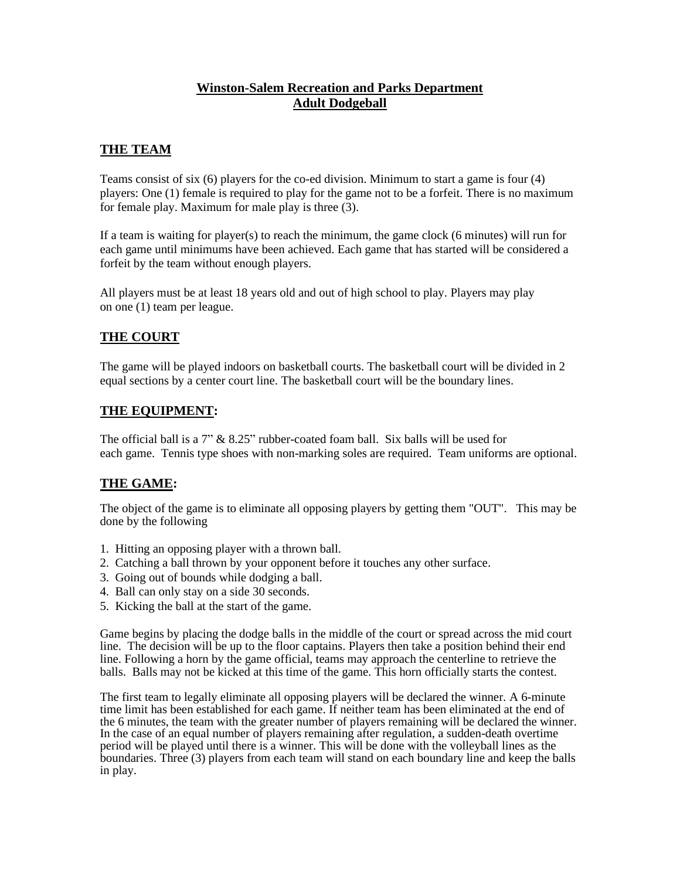### **Winston-Salem Recreation and Parks Department Adult Dodgeball**

### **THE TEAM**

Teams consist of six (6) players for the co-ed division. Minimum to start a game is four (4) players: One (1) female is required to play for the game not to be a forfeit. There is no maximum for female play. Maximum for male play is three (3).

If a team is waiting for player(s) to reach the minimum, the game clock (6 minutes) will run for each game until minimums have been achieved. Each game that has started will be considered a forfeit by the team without enough players.

All players must be at least 18 years old and out of high school to play. Players may play on one (1) team per league.

### **THE COURT**

The game will be played indoors on basketball courts. The basketball court will be divided in 2 equal sections by a center court line. The basketball court will be the boundary lines.

#### **THE EQUIPMENT:**

The official ball is a 7" & 8.25" rubber-coated foam ball. Six balls will be used for each game. Tennis type shoes with non-marking soles are required. Team uniforms are optional.

### **THE GAME:**

The object of the game is to eliminate all opposing players by getting them "OUT". This may be done by the following

- 1. Hitting an opposing player with a thrown ball.
- 2. Catching a ball thrown by your opponent before it touches any other surface.
- 3. Going out of bounds while dodging a ball.
- 4. Ball can only stay on a side 30 seconds.
- 5. Kicking the ball at the start of the game.

Game begins by placing the dodge balls in the middle of the court or spread across the mid court line. The decision will be up to the floor captains. Players then take a position behind their end line. Following a horn by the game official, teams may approach the centerline to retrieve the balls. Balls may not be kicked at this time of the game. This horn officially starts the contest.

The first team to legally eliminate all opposing players will be declared the winner. A 6-minute time limit has been established for each game. If neither team has been eliminated at the end of the 6 minutes, the team with the greater number of players remaining will be declared the winner. In the case of an equal number of players remaining after regulation, a sudden-death overtime period will be played until there is a winner. This will be done with the volleyball lines as the boundaries. Three (3) players from each team will stand on each boundary line and keep the balls in play.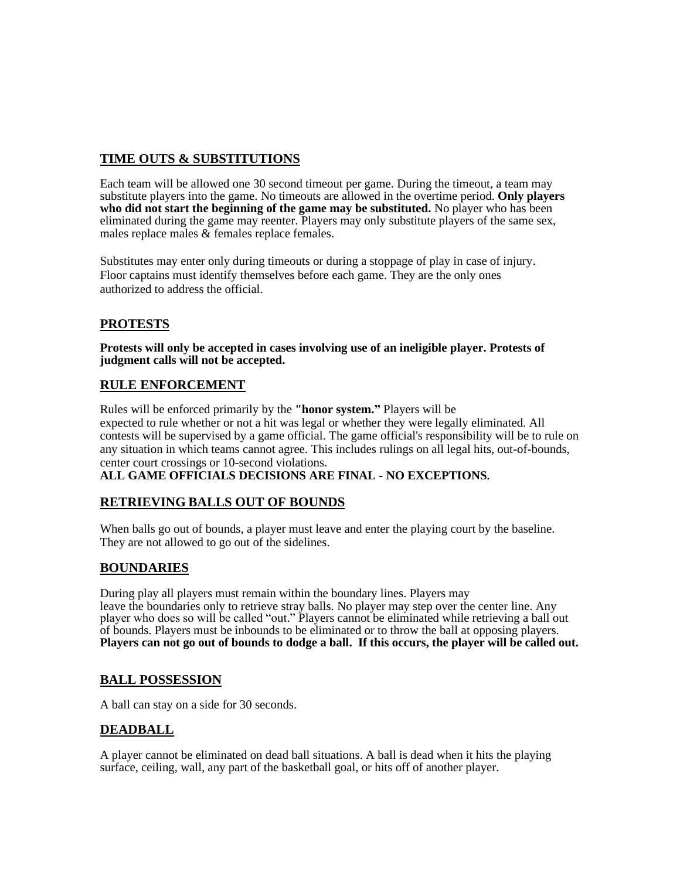# **TIME OUTS & SUBSTITUTIONS**

Each team will be allowed one 30 second timeout per game. During the timeout, a team may substitute players into the game. No timeouts are allowed in the overtime period. **Only players who did not start the beginning of the game may be substituted.** No player who has been eliminated during the game may reenter. Players may only substitute players of the same sex, males replace males & females replace females.

Substitutes may enter only during timeouts or during a stoppage of play in case of injury. Floor captains must identify themselves before each game. They are the only ones authorized to address the official.

## **PROTESTS**

**Protests will only be accepted in cases involving use of an ineligible player. Protests of judgment calls will not be accepted.** 

### **RULE ENFORCEMENT**

Rules will be enforced primarily by the **"honor system."** Players will be expected to rule whether or not a hit was legal or whether they were legally eliminated. All contests will be supervised by a game official. The game official's responsibility will be to rule on any situation in which teams cannot agree. This includes rulings on all legal hits, out-of-bounds, center court crossings or 10-second violations.

**ALL GAME OFFICIALS DECISIONS ARE FINAL - NO EXCEPTIONS.**

### **RETRIEVING BALLS OUT OF BOUNDS**

When balls go out of bounds, a player must leave and enter the playing court by the baseline. They are not allowed to go out of the sidelines.

### **BOUNDARIES**

During play all players must remain within the boundary lines. Players may leave the boundaries only to retrieve stray balls. No player may step over the center line. Any player who does so will be called "out." Players cannot be eliminated while retrieving a ball out of bounds. Players must be inbounds to be eliminated or to throw the ball at opposing players. **Players can not go out of bounds to dodge a ball. If this occurs, the player will be called out.**

### **BALL POSSESSION**

A ball can stay on a side for 30 seconds.

### **DEADBALL**

A player cannot be eliminated on dead ball situations. A ball is dead when it hits the playing surface, ceiling, wall, any part of the basketball goal, or hits off of another player.